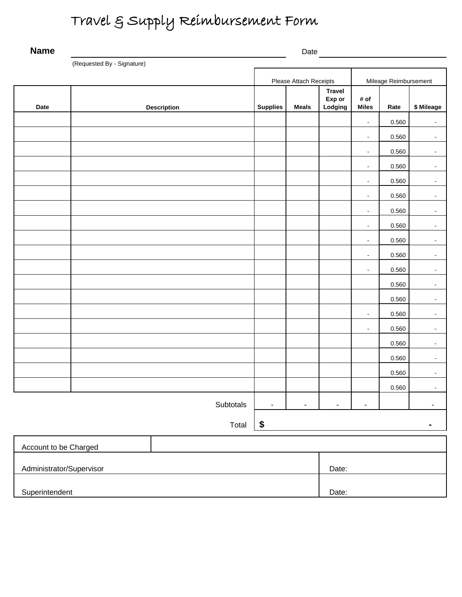## Travel & Supply Reimbursement Form

| <b>Name</b>              |                            |                    | Date                   |                |                                    |                          |       |                |  |
|--------------------------|----------------------------|--------------------|------------------------|----------------|------------------------------------|--------------------------|-------|----------------|--|
|                          | (Requested By - Signature) |                    |                        |                |                                    |                          |       |                |  |
|                          |                            |                    | Please Attach Receipts |                |                                    | Mileage Reimbursement    |       |                |  |
| Date                     |                            | <b>Description</b> | <b>Supplies</b>        | <b>Meals</b>   | <b>Travel</b><br>Exp or<br>Lodging | # of<br><b>Miles</b>     | Rate  | \$ Mileage     |  |
|                          |                            |                    |                        |                |                                    | $\blacksquare$           | 0.560 | $\blacksquare$ |  |
|                          |                            |                    |                        |                |                                    | $\blacksquare$           | 0.560 | $\blacksquare$ |  |
|                          |                            |                    |                        |                |                                    | $\blacksquare$           | 0.560 | $\blacksquare$ |  |
|                          |                            |                    |                        |                |                                    | $\blacksquare$           | 0.560 | $\blacksquare$ |  |
|                          |                            |                    |                        |                |                                    | $\blacksquare$           | 0.560 | $\blacksquare$ |  |
|                          |                            |                    |                        |                |                                    | $\blacksquare$           | 0.560 | $\blacksquare$ |  |
|                          |                            |                    |                        |                |                                    | $\blacksquare$           | 0.560 | $\blacksquare$ |  |
|                          |                            |                    |                        |                |                                    | $\blacksquare$           | 0.560 | $\blacksquare$ |  |
|                          |                            |                    |                        |                |                                    | $\blacksquare$           | 0.560 | $\blacksquare$ |  |
|                          |                            |                    |                        |                |                                    | $\blacksquare$           | 0.560 | $\blacksquare$ |  |
|                          |                            |                    |                        |                |                                    | $\blacksquare$           | 0.560 | $\blacksquare$ |  |
|                          |                            |                    |                        |                |                                    |                          | 0.560 | $\blacksquare$ |  |
|                          |                            |                    |                        |                |                                    |                          | 0.560 | $\blacksquare$ |  |
|                          |                            |                    |                        |                |                                    | $\blacksquare$           | 0.560 | $\blacksquare$ |  |
|                          |                            |                    |                        |                |                                    | $\blacksquare$           | 0.560 | $\blacksquare$ |  |
|                          |                            |                    |                        |                |                                    |                          | 0.560 | $\blacksquare$ |  |
|                          |                            |                    |                        |                |                                    |                          | 0.560 | $\blacksquare$ |  |
|                          |                            |                    |                        |                |                                    |                          | 0.560 | $\blacksquare$ |  |
|                          |                            |                    |                        |                |                                    |                          | 0.560 | $\blacksquare$ |  |
|                          |                            | Subtotals          | -                      | $\overline{a}$ | $\blacksquare$                     | $\overline{\phantom{a}}$ |       | ۰              |  |
| $\sqrt[6]{3}$<br>Total   |                            |                    |                        |                |                                    |                          |       |                |  |
| Account to be Charged    |                            |                    |                        |                |                                    |                          |       |                |  |
| Administrator/Supervisor |                            |                    |                        |                | Date:                              |                          |       |                |  |
|                          |                            |                    |                        |                |                                    |                          |       |                |  |
| Superintendent           |                            |                    |                        |                | Date:                              |                          |       |                |  |